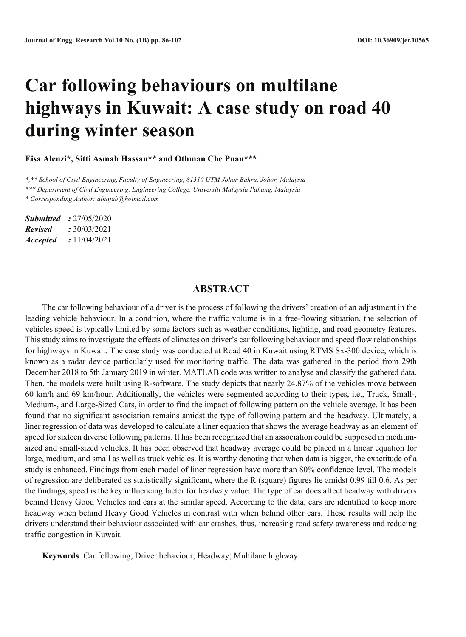# **Car following behaviours on multilane highways in Kuwait: A case study on road 40 during winter season**

**Eisa Alenzi\*, Sitti Asmah Hassan\*\* and Othman Che Puan\*\*\***

*\*,\*\* School of Civil Engineering, Faculty of Engineering, 81310 UTM Johor Bahru, Johor, Malaysia*

*\*\*\* Department of Civil Engineering, Engineering College, Universiti Malaysia Pahang, Malaysia*

*\* Corresponding Author: alhajab@hotmail.com*

*Submitted :* 27/05/2020 *Revised :* 30/03/2021 *Accepted :* 11/04/2021

## **ABSTRACT**

The car following behaviour of a driver is the process of following the drivers' creation of an adjustment in the leading vehicle behaviour. In a condition, where the traffic volume is in a free-flowing situation, the selection of vehicles speed is typically limited by some factors such as weather conditions, lighting, and road geometry features. This study aims to investigate the effects of climates on driver's car following behaviour and speed flow relationships for highways in Kuwait. The case study was conducted at Road 40 in Kuwait using RTMS Sx-300 device, which is known as a radar device particularly used for monitoring traffic. The data was gathered in the period from 29th December 2018 to 5th January 2019 in winter. MATLAB code was written to analyse and classify the gathered data. Then, the models were built using R-software. The study depicts that nearly 24.87% of the vehicles move between 60 km/h and 69 km/hour. Additionally, the vehicles were segmented according to their types, i.e., Truck, Small-, Medium-, and Large-Sized Cars, in order to find the impact of following pattern on the vehicle average. It has been found that no significant association remains amidst the type of following pattern and the headway. Ultimately, a liner regression of data was developed to calculate a liner equation that shows the average headway as an element of speed for sixteen diverse following patterns. It has been recognized that an association could be supposed in mediumsized and small-sized vehicles. It has been observed that headway average could be placed in a linear equation for large, medium, and small as well as truck vehicles. It is worthy denoting that when data is bigger, the exactitude of a study is enhanced. Findings from each model of liner regression have more than 80% confidence level. The models of regression are deliberated as statistically significant, where the R (square) figures lie amidst 0.99 till 0.6. As per the findings, speed is the key influencing factor for headway value. The type of car does affect headway with drivers behind Heavy Good Vehicles and cars at the similar speed. According to the data, cars are identified to keep more headway when behind Heavy Good Vehicles in contrast with when behind other cars. These results will help the drivers understand their behaviour associated with car crashes, thus, increasing road safety awareness and reducing traffic congestion in Kuwait.

**Keywords**: Car following; Driver behaviour; Headway; Multilane highway.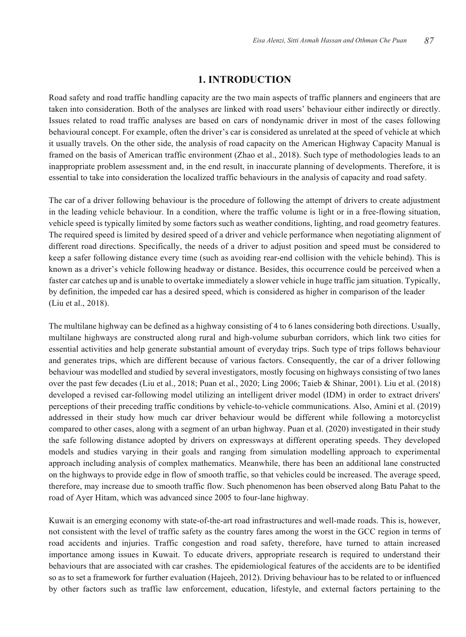#### **1. INTRODUCTION**

Road safety and road traffic handling capacity are the two main aspects of traffic planners and engineers that are taken into consideration. Both of the analyses are linked with road users' behaviour either indirectly or directly. Issues related to road traffic analyses are based on cars of nondynamic driver in most of the cases following behavioural concept. For example, often the driver's car is considered as unrelated at the speed of vehicle at which it usually travels. On the other side, the analysis of road capacity on the American Highway Capacity Manual is framed on the basis of American traffic environment (Zhao et al., 2018). Such type of methodologies leads to an inappropriate problem assessment and, in the end result, in inaccurate planning of developments. Therefore, it is essential to take into consideration the localized traffic behaviours in the analysis of capacity and road safety.

The car of a driver following behaviour is the procedure of following the attempt of drivers to create adjustment in the leading vehicle behaviour. In a condition, where the traffic volume is light or in a free-flowing situation, vehicle speed is typically limited by some factors such as weather conditions, lighting, and road geometry features. The required speed is limited by desired speed of a driver and vehicle performance when negotiating alignment of different road directions. Specifically, the needs of a driver to adjust position and speed must be considered to keep a safer following distance every time (such as avoiding rear-end collision with the vehicle behind). This is known as a driver's vehicle following headway or distance. Besides, this occurrence could be perceived when a faster car catches up and is unable to overtake immediately a slower vehicle in huge traffic jam situation. Typically, by definition, the impeded car has a desired speed, which is considered as higher in comparison of the leader (Liu et al., 2018).

The multilane highway can be defined as a highway consisting of 4 to 6 lanes considering both directions. Usually, multilane highways are constructed along rural and high-volume suburban corridors, which link two cities for essential activities and help generate substantial amount of everyday trips. Such type of trips follows behaviour and generates trips, which are different because of various factors. Consequently, the car of a driver following behaviour was modelled and studied by several investigators, mostly focusing on highways consisting of two lanes over the past few decades (Liu et al., 2018; Puan et al., 2020; Ling 2006; Taieb & Shinar, 2001). Liu et al. (2018) developed a revised car-following model utilizing an intelligent driver model (IDM) in order to extract drivers' perceptions of their preceding traffic conditions by vehicle-to-vehicle communications. Also, Amini et al. (2019) addressed in their study how much car driver behaviour would be different while following a motorcyclist compared to other cases, along with a segment of an urban highway. Puan et al. (2020) investigated in their study the safe following distance adopted by drivers on expressways at different operating speeds. They developed models and studies varying in their goals and ranging from simulation modelling approach to experimental approach including analysis of complex mathematics. Meanwhile, there has been an additional lane constructed on the highways to provide edge in flow of smooth traffic, so that vehicles could be increased. The average speed, therefore, may increase due to smooth traffic flow. Such phenomenon has been observed along Batu Pahat to the road of Ayer Hitam, which was advanced since 2005 to four-lane highway.

Kuwait is an emerging economy with state-of-the-art road infrastructures and well-made roads. This is, however, not consistent with the level of traffic safety as the country fares among the worst in the GCC region in terms of road accidents and injuries. Traffic congestion and road safety, therefore, have turned to attain increased importance among issues in Kuwait. To educate drivers, appropriate research is required to understand their behaviours that are associated with car crashes. The epidemiological features of the accidents are to be identified so as to set a framework for further evaluation (Hajeeh, 2012). Driving behaviour has to be related to or influenced by other factors such as traffic law enforcement, education, lifestyle, and external factors pertaining to the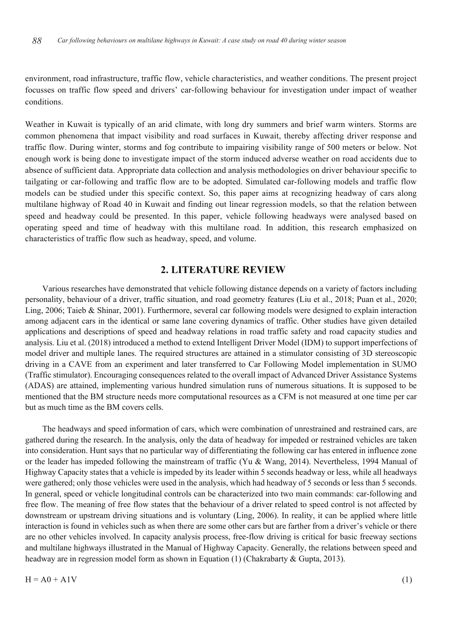environment, road infrastructure, traffic flow, vehicle characteristics, and weather conditions. The present project focusses on traffic flow speed and drivers' car-following behaviour for investigation under impact of weather conditions.

Weather in Kuwait is typically of an arid climate, with long dry summers and brief warm winters. Storms are common phenomena that impact visibility and road surfaces in Kuwait, thereby affecting driver response and traffic flow. During winter, storms and fog contribute to impairing visibility range of 500 meters or below. Not enough work is being done to investigate impact of the storm induced adverse weather on road accidents due to absence of sufficient data. Appropriate data collection and analysis methodologies on driver behaviour specific to tailgating or car-following and traffic flow are to be adopted. Simulated car-following models and traffic flow models can be studied under this specific context. So, this paper aims at recognizing headway of cars along multilane highway of Road 40 in Kuwait and finding out linear regression models, so that the relation between speed and headway could be presented. In this paper, vehicle following headways were analysed based on operating speed and time of headway with this multilane road. In addition, this research emphasized on characteristics of traffic flow such as headway, speed, and volume.

#### **2. LITERATURE REVIEW**

Various researches have demonstrated that vehicle following distance depends on a variety of factors including personality, behaviour of a driver, traffic situation, and road geometry features (Liu et al., 2018; Puan et al., 2020; Ling, 2006; Taieb & Shinar, 2001). Furthermore, several car following models were designed to explain interaction among adjacent cars in the identical or same lane covering dynamics of traffic. Other studies have given detailed applications and descriptions of speed and headway relations in road traffic safety and road capacity studies and analysis. Liu et al. (2018) introduced a method to extend Intelligent Driver Model (IDM) to support imperfections of model driver and multiple lanes. The required structures are attained in a stimulator consisting of 3D stereoscopic driving in a CAVE from an experiment and later transferred to Car Following Model implementation in SUMO (Traffic stimulator). Encouraging consequences related to the overall impact of Advanced Driver Assistance Systems (ADAS) are attained, implementing various hundred simulation runs of numerous situations. It is supposed to be mentioned that the BM structure needs more computational resources as a CFM is not measured at one time per car but as much time as the BM covers cells.

The headways and speed information of cars, which were combination of unrestrained and restrained cars, are gathered during the research. In the analysis, only the data of headway for impeded or restrained vehicles are taken into consideration. Hunt says that no particular way of differentiating the following car has entered in influence zone or the leader has impeded following the mainstream of traffic (Yu & Wang, 2014). Nevertheless, 1994 Manual of Highway Capacity states that a vehicle is impeded by its leader within 5 seconds headway or less, while all headways were gathered; only those vehicles were used in the analysis, which had headway of 5 seconds or less than 5 seconds. In general, speed or vehicle longitudinal controls can be characterized into two main commands: car-following and free flow. The meaning of free flow states that the behaviour of a driver related to speed control is not affected by downstream or upstream driving situations and is voluntary (Ling, 2006). In reality, it can be applied where little interaction is found in vehicles such as when there are some other cars but are farther from a driver's vehicle or there are no other vehicles involved. In capacity analysis process, free-flow driving is critical for basic freeway sections and multilane highways illustrated in the Manual of Highway Capacity. Generally, the relations between speed and headway are in regression model form as shown in Equation (1) (Chakrabarty & Gupta, 2013).

 $H = A0 + A1V$  (1)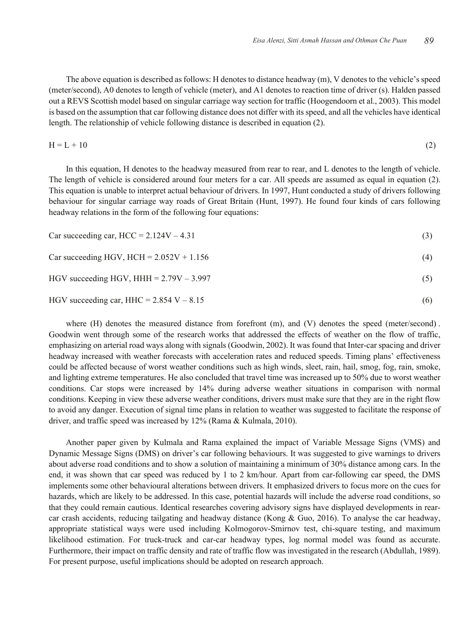The above equation is described asfollows: H denotes to distance headway (m), V denotes to the vehicle's speed (meter/second), A0 denotes to length of vehicle (meter), and A1 denotes to reaction time of driver (s). Halden passed out a REVS Scottish model based on singular carriage way section for traffic (Hoogendoorn et al., 2003). This model is based on the assumption that car following distance does not differ with its speed, and all the vehicles have identical length. The relationship of vehicle following distance is described in equation (2).

$$
H = L + 10
$$
 (2)

In this equation, H denotes to the headway measured from rear to rear, and L denotes to the length of vehicle. The length of vehicle is considered around four meters for a car. All speeds are assumed as equal in equation (2). This equation is unable to interpret actual behaviour of drivers. In 1997, Hunt conducted a study of drivers following behaviour for singular carriage way roads of Great Britain (Hunt, 1997). He found four kinds of cars following headway relations in the form of the following four equations:

| Car succeeding car, $HCC = 2.124V - 4.31$ |  |  |  |
|-------------------------------------------|--|--|--|
|-------------------------------------------|--|--|--|

Car succeeding HGV, HCH =  $2.052V + 1.156$  (4)

#### HGV succeeding HGV, HHH =  $2.79V - 3.997$  (5)

HGV succeeding car, HHC =  $2.854$  V –  $8.15$  (6)

where (H) denotes the measured distance from forefront (m), and (V) denotes the speed (meter/second). Goodwin went through some of the research works that addressed the effects of weather on the flow of traffic, emphasizing on arterial road ways along with signals (Goodwin, 2002). It was found that Inter-car spacing and driver headway increased with weather forecasts with acceleration rates and reduced speeds. Timing plans' effectiveness could be affected because of worst weather conditions such as high winds, sleet, rain, hail, smog, fog, rain, smoke, and lighting extreme temperatures. He also concluded that travel time was increased up to 50% due to worst weather conditions. Car stops were increased by 14% during adverse weather situations in comparison with normal conditions. Keeping in view these adverse weather conditions, drivers must make sure that they are in the right flow to avoid any danger. Execution of signal time plans in relation to weather was suggested to facilitate the response of driver, and traffic speed was increased by 12% (Rama & Kulmala, 2010).

Another paper given by Kulmala and Rama explained the impact of Variable Message Signs (VMS) and Dynamic Message Signs (DMS) on driver's car following behaviours. It was suggested to give warnings to drivers about adverse road conditions and to show a solution of maintaining a minimum of 30% distance among cars. In the end, it was shown that car speed was reduced by 1 to 2 km/hour. Apart from car-following car speed, the DMS implements some other behavioural alterations between drivers. It emphasized drivers to focus more on the cues for hazards, which are likely to be addressed. In this case, potential hazards will include the adverse road conditions, so that they could remain cautious. Identical researches covering advisory signs have displayed developments in rearcar crash accidents, reducing tailgating and headway distance (Kong & Guo, 2016). To analyse the car headway, appropriate statistical ways were used including Kolmogorov-Smirnov test, chi-square testing, and maximum likelihood estimation. For truck-truck and car-car headway types, log normal model was found as accurate. Furthermore, their impact on traffic density and rate of traffic flow was investigated in the research (Abdullah, 1989). For present purpose, useful implications should be adopted on research approach.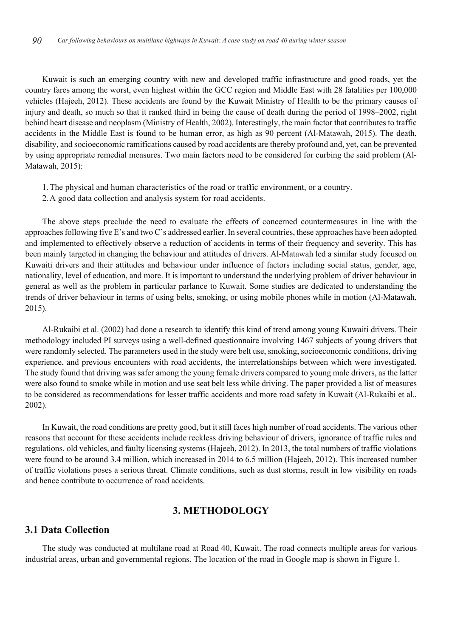Kuwait is such an emerging country with new and developed traffic infrastructure and good roads, yet the country fares among the worst, even highest within the GCC region and Middle East with 28 fatalities per 100,000 vehicles (Hajeeh, 2012). These accidents are found by the Kuwait Ministry of Health to be the primary causes of injury and death, so much so that it ranked third in being the cause of death during the period of 1998–2002, right behind heart disease and neoplasm (Ministry of Health, 2002). Interestingly, the main factor that contributes to traffic accidents in the Middle East is found to be human error, as high as 90 percent (Al-Matawah, 2015). The death, disability, and socioeconomic ramifications caused by road accidents are thereby profound and, yet, can be prevented by using appropriate remedial measures. Two main factors need to be considered for curbing the said problem (Al-Matawah, 2015):

- 1.The physical and human characteristics of the road or traffic environment, or a country.
- 2.A good data collection and analysis system for road accidents.

The above steps preclude the need to evaluate the effects of concerned countermeasures in line with the approaches following five E's and two C's addressed earlier. In several countries, these approaches have been adopted and implemented to effectively observe a reduction of accidents in terms of their frequency and severity. This has been mainly targeted in changing the behaviour and attitudes of drivers. Al-Matawah led a similar study focused on Kuwaiti drivers and their attitudes and behaviour under influence of factors including social status, gender, age, nationality, level of education, and more. It is important to understand the underlying problem of driver behaviour in general as well as the problem in particular parlance to Kuwait. Some studies are dedicated to understanding the trends of driver behaviour in terms of using belts, smoking, or using mobile phones while in motion (Al-Matawah, 2015).

Al-Rukaibi et al. (2002) had done a research to identify this kind of trend among young Kuwaiti drivers. Their methodology included PI surveys using a well-defined questionnaire involving 1467 subjects of young drivers that were randomly selected. The parameters used in the study were belt use, smoking, socioeconomic conditions, driving experience, and previous encounters with road accidents, the interrelationships between which were investigated. The study found that driving was safer among the young female drivers compared to young male drivers, as the latter were also found to smoke while in motion and use seat belt less while driving. The paper provided a list of measures to be considered as recommendations for lesser traffic accidents and more road safety in Kuwait (Al-Rukaibi et al., 2002).

In Kuwait, the road conditions are pretty good, but it still faces high number of road accidents. The various other reasons that account for these accidents include reckless driving behaviour of drivers, ignorance of traffic rules and regulations, old vehicles, and faulty licensing systems (Hajeeh, 2012). In 2013, the total numbers of traffic violations were found to be around 3.4 million, which increased in 2014 to 6.5 million (Hajeeh, 2012). This increased number of traffic violations poses a serious threat. Climate conditions, such as dust storms, result in low visibility on roads and hence contribute to occurrence of road accidents.

## **3. METHODOLOGY**

## **3.1 Data Collection**

The study was conducted at multilane road at Road 40, Kuwait. The road connects multiple areas for various industrial areas, urban and governmental regions. The location of the road in Google map is shown in Figure 1.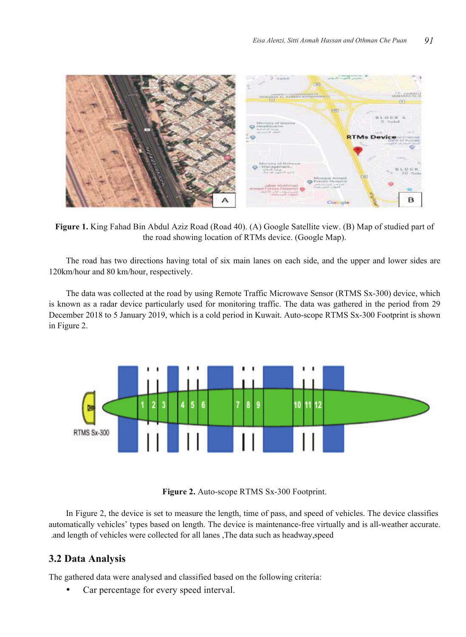

Figure 1. King Fahad Bin Abdul Aziz Road (Road 40). (A) Google Satellite view. (B) Map of studied part of the road showing location of RTMs device. (Google Map).

The road has two directions having total of six main lanes on each side, and the upper and lower sides are 120km/hour and 80 km/hour, respectively.

The data was collected at the road by using Remote Traffic Microwave Sensor (RTMS Sx-300) device, which is known as a radar device particularly used for monitoring traffic. The data was gathered in the period from 29 December 2018 to 5 January 2019, which is a cold period in Kuwait. Auto-scope RTMS Sx-300 Footprint is shown in Figure 2.



**Figure 2.** Auto-scope RTMS Sx-300 Footprint.

In Figure 2, the device is set to measure the length, time of pass, and speed of vehicles. The device classifies automatically vehicles' types based on length. The device is maintenance-free virtually and is all-weather accurate. .and length of vehicles were collected for all lanes ,The data such as headway,speed

# **3.2 Data Analysis**

The gathered data were analysed and classified based on the following criteria:

Car percentage for every speed interval.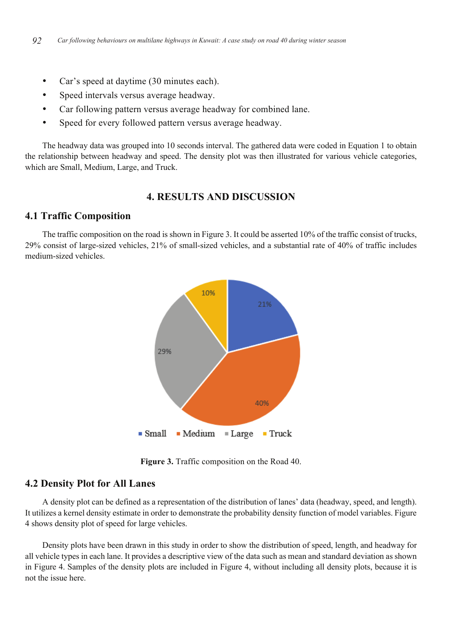- Car's speed at daytime (30 minutes each).
- Speed intervals versus average headway.
- Car following pattern versus average headway for combined lane.
- Speed for every followed pattern versus average headway.

The headway data was grouped into 10 seconds interval. The gathered data were coded in Equation 1 to obtain the relationship between headway and speed. The density plot was then illustrated for various vehicle categories, which are Small, Medium, Large, and Truck.

## **4. RESULTS AND DISCUSSION**

## **4.1 Traffic Composition**

The traffic composition on the road is shown in Figure 3. It could be asserted 10% of the traffic consist of trucks, 29% consist of large-sized vehicles, 21% of small-sized vehicles, and a substantial rate of 40% of traffic includes medium-sized vehicles.



**Figure 3.** Traffic composition on the Road 40.

#### **4.2 Density Plot for All Lanes**

A density plot can be defined as a representation of the distribution of lanes' data (headway, speed, and length). It utilizes a kernel density estimate in order to demonstrate the probability density function of model variables. Figure 4 shows density plot of speed for large vehicles.

Density plots have been drawn in this study in order to show the distribution of speed, length, and headway for all vehicle types in each lane. It provides a descriptive view of the data such as mean and standard deviation as shown in Figure 4. Samples of the density plots are included in Figure 4, without including all density plots, because it is not the issue here.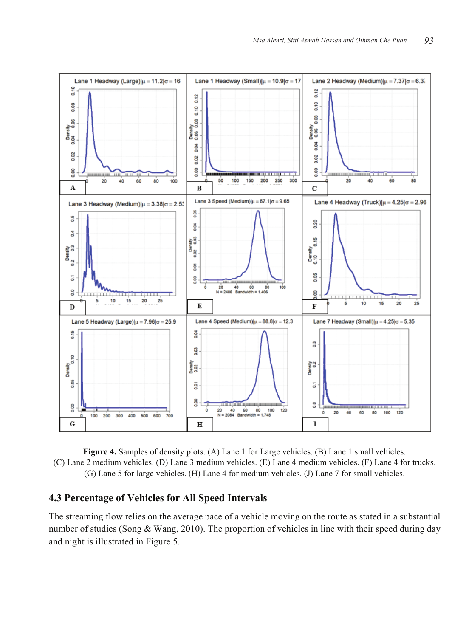

**Figure 4.** Samples of density plots. (A) Lane 1 for Large vehicles. (B) Lane 1 small vehicles. (C) Lane 2 medium vehicles. (D) Lane 3 medium vehicles. (E) Lane 4 medium vehicles. (F) Lane 4 for trucks. (G) Lane 5 for large vehicles. (H) Lane 4 for medium vehicles. (J) Lane 7 for small vehicles.

# **4.3 Percentage of Vehicles for All Speed Intervals**

The streaming flow relies on the average pace of a vehicle moving on the route as stated in a substantial number of studies (Song & Wang, 2010). The proportion of vehicles in line with their speed during day and night is illustrated in Figure 5.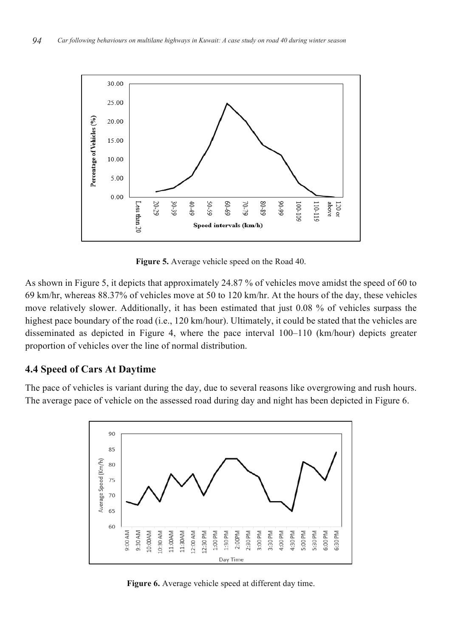

**Figure 5.** Average vehicle speed on the Road 40.

As shown in Figure 5, it depicts that approximately 24.87 % of vehicles move amidst the speed of 60 to 69 km/hr, whereas 88.37% of vehicles move at 50 to 120 km/hr. At the hours of the day, these vehicles move relatively slower. Additionally, it has been estimated that just 0.08 % of vehicles surpass the highest pace boundary of the road (i.e., 120 km/hour). Ultimately, it could be stated that the vehicles are disseminated as depicted in Figure 4, where the pace interval 100–110 (km/hour) depicts greater proportion of vehicles over the line of normal distribution.

# **4.4 Speed of Cars At Daytime**

The pace of vehicles is variant during the day, due to several reasons like overgrowing and rush hours. The average pace of vehicle on the assessed road during day and night has been depicted in Figure 6.



**Figure 6.** Average vehicle speed at different day time.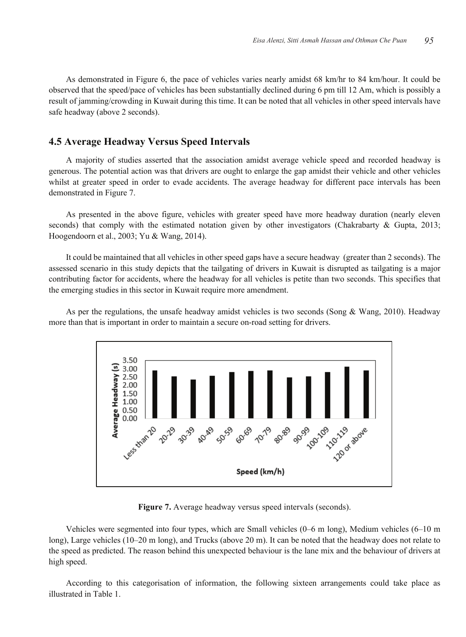As demonstrated in Figure 6, the pace of vehicles varies nearly amidst 68 km/hr to 84 km/hour. It could be observed that the speed/pace of vehicles has been substantially declined during 6 pm till 12 Am, which is possibly a result of jamming/crowding in Kuwait during this time. It can be noted that all vehicles in other speed intervals have safe headway (above 2 seconds).

#### **4.5 Average Headway Versus Speed Intervals**

A majority of studies asserted that the association amidst average vehicle speed and recorded headway is generous. The potential action was that drivers are ought to enlarge the gap amidst their vehicle and other vehicles whilst at greater speed in order to evade accidents. The average headway for different pace intervals has been demonstrated in Figure 7.

As presented in the above figure, vehicles with greater speed have more headway duration (nearly eleven seconds) that comply with the estimated notation given by other investigators (Chakrabarty & Gupta, 2013; Hoogendoorn et al., 2003; Yu & Wang, 2014).

It could be maintained that all vehicles in other speed gaps have a secure headway (greater than 2 seconds). The assessed scenario in this study depicts that the tailgating of drivers in Kuwait is disrupted as tailgating is a major contributing factor for accidents, where the headway for all vehicles is petite than two seconds. This specifies that the emerging studies in this sector in Kuwait require more amendment.

As per the regulations, the unsafe headway amidst vehicles is two seconds (Song & Wang, 2010). Headway more than that is important in order to maintain a secure on-road setting for drivers.



Figure 7. Average headway versus speed intervals (seconds).

Vehicles were segmented into four types, which are Small vehicles (0–6 m long), Medium vehicles (6–10 m long), Large vehicles (10–20 m long), and Trucks (above 20 m). It can be noted that the headway does not relate to the speed as predicted. The reason behind this unexpected behaviour is the lane mix and the behaviour of drivers at high speed.

According to this categorisation of information, the following sixteen arrangements could take place as illustrated in Table 1.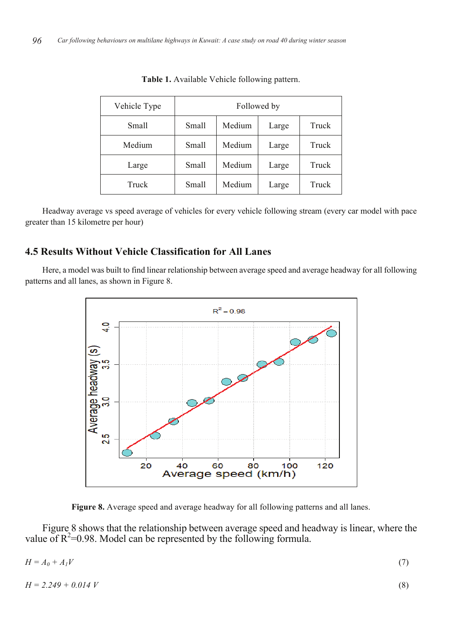| Vehicle Type | Followed by |        |       |       |
|--------------|-------------|--------|-------|-------|
| Small        | Small       | Medium | Large | Truck |
| Medium       | Small       | Medium | Large | Truck |
| Large        | Small       | Medium | Large | Truck |
| Truck        | Small       | Medium | Large | Truck |

**Table 1.** Available Vehicle following pattern.

Headway average vs speed average of vehicles for every vehicle following stream (every car model with pace greater than 15 kilometre per hour)

# **4.5 Results Without Vehicle Classification for All Lanes**

Here, a model was built to find linear relationship between average speed and average headway for all following patterns and all lanes, as shown in Figure 8.



**Figure 8.** Average speed and average headway for all following patterns and all lanes.

Figure 8 shows that the relationship between average speed and headway is linear, where the value of  $R^2$ =0.98. Model can be represented by the following formula.

| $H = A_0 + A_1 V$ |  |
|-------------------|--|
|                   |  |
|                   |  |

$$
H = 2.249 + 0.014 V \tag{8}
$$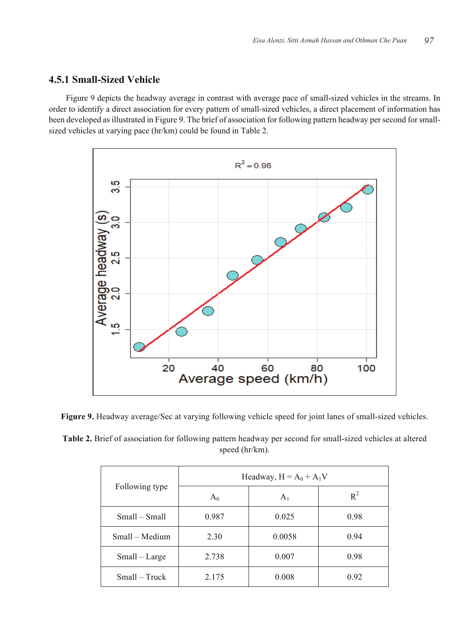# **4.5.1 Small-Sized Vehicle**

Figure 9 depicts the headway average in contrast with average pace of small-sized vehicles in the streams. In order to identify a direct association for every pattern of small-sized vehicles, a direct placement of information has been developed as illustrated in Figure 9. The brief of association for following pattern headway per second for smallsized vehicles at varying pace (hr/km) could be found in Table 2.



**Figure 9.** Headway average/Sec at varying following vehicle speed for joint lanes of small-sized vehicles.

**Table 2.** Brief of association for following pattern headway per second for small-sized vehicles at altered speed (hr/km).

|                |       | Headway, $H = A_0 + A_1V$ |       |
|----------------|-------|---------------------------|-------|
| Following type | $A_0$ | $A_1$                     | $R^2$ |
| Small – Small  | 0.987 | 0.025                     | 0.98  |
| Small – Medium | 2.30  | 0.0058                    | 0.94  |
| Small – Large  | 2.738 | 0.007                     | 0.98  |
| Small – Truck  | 2.175 | 0.008                     | 0.92  |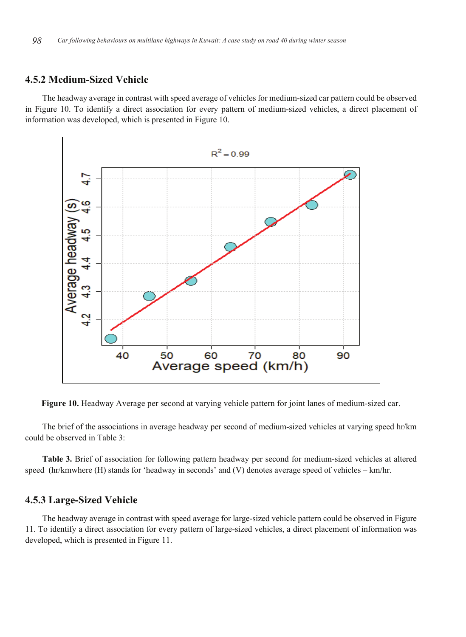# **4.5.2 Medium-Sized Vehicle**

The headway average in contrast with speed average of vehicles for medium-sized car pattern could be observed in Figure 10. To identify a direct association for every pattern of medium-sized vehicles, a direct placement of information was developed, which is presented in Figure 10.



**Figure 10.** Headway Average per second at varying vehicle pattern for joint lanes of medium-sized car.

The brief of the associations in average headway per second of medium-sized vehicles at varying speed hr/km could be observed in Table 3:

**Table 3.** Brief of association for following pattern headway per second for medium-sized vehicles at altered speed (hr/kmwhere (H) stands for 'headway in seconds' and (V) denotes average speed of vehicles – km/hr.

## **4.5.3 Large-Sized Vehicle**

The headway average in contrast with speed average for large-sized vehicle pattern could be observed in Figure 11. To identify a direct association for every pattern of large-sized vehicles, a direct placement of information was developed, which is presented in Figure 11.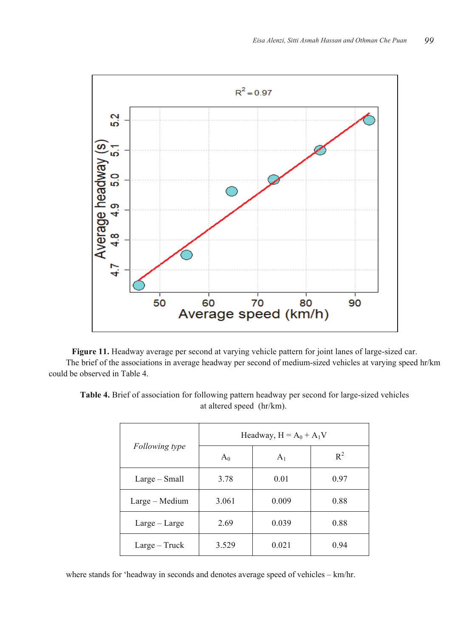

**Figure 11.** Headway average per second at varying vehicle pattern for joint lanes of large-sized car. The brief of the associations in average headway per second of medium-sized vehicles at varying speed hr/km could be observed in Table 4.

| Table 4. Brief of association for following pattern headway per second for large-sized vehicles |  |
|-------------------------------------------------------------------------------------------------|--|
| at altered speed (hr/km).                                                                       |  |

|                 | Headway, $H = A_0 + A_1V$ |                |       |  |
|-----------------|---------------------------|----------------|-------|--|
| Following type  | $A_0$                     | A <sub>1</sub> | $R^2$ |  |
| Large – Small   | 3.78                      | 0.01           | 0.97  |  |
| Large - Medium  | 3.061                     | 0.009          | 0.88  |  |
| $Large-Large$   | 2.69                      | 0.039          | 0.88  |  |
| $Large - Truek$ | 3.529                     | 0.021          | 0.94  |  |

where stands for 'headway in seconds and denotes average speed of vehicles – km/hr.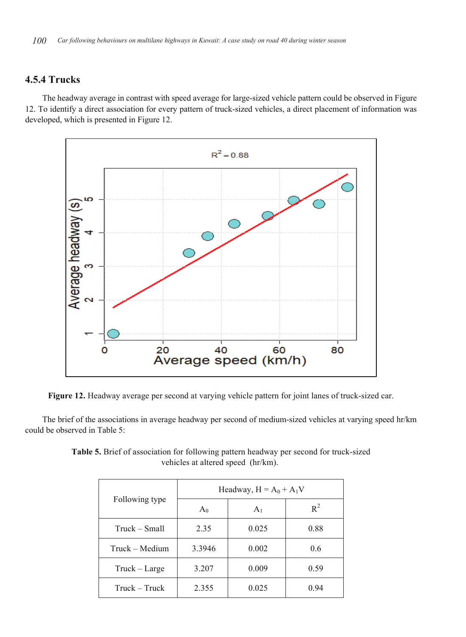# **4.5.4 Trucks**

The headway average in contrast with speed average for large-sized vehicle pattern could be observed in Figure 12. To identify a direct association for every pattern of truck-sized vehicles, a direct placement of information was developed, which is presented in Figure 12.



**Figure 12.** Headway average per second at varying vehicle pattern for joint lanes of truck-sized car.

The brief of the associations in average headway per second of medium-sized vehicles at varying speed hr/km could be observed in Table 5:

|                | Headway, $H = A_0 + A_1V$ |                |       |  |
|----------------|---------------------------|----------------|-------|--|
| Following type | $A_0$                     | A <sub>1</sub> | $R^2$ |  |
| Truck – Small  | 2.35                      | 0.025          | 0.88  |  |
| Truck – Medium | 3.3946                    | 0.002          | 0.6   |  |
| Truck – Large  | 3.207                     | 0.009          | 0.59  |  |
| Truck – Truck  | 2.355                     | 0.025          | 0.94  |  |

**Table 5.** Brief of association for following pattern headway per second for truck-sized vehicles at altered speed (hr/km).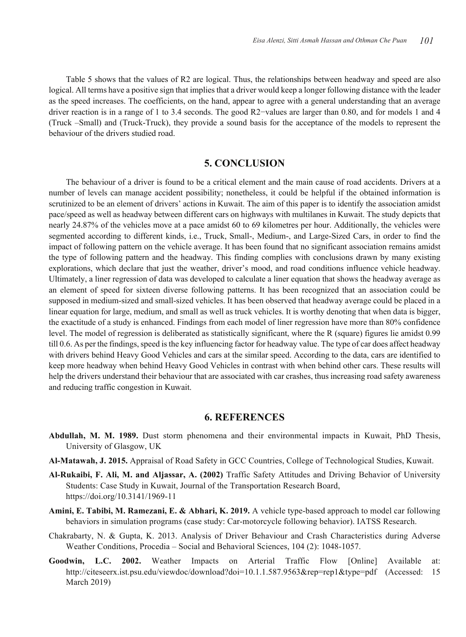Table 5 shows that the values of R2 are logical. Thus, the relationships between headway and speed are also logical. All terms have a positive sign that implies that a driver would keep a longer following distance with the leader as the speed increases. The coefficients, on the hand, appear to agree with a general understanding that an average driver reaction is in a range of 1 to 3.4 seconds. The good R2−values are larger than 0.80, and for models 1 and 4 (Truck –Small) and (Truck-Truck), they provide a sound basis for the acceptance of the models to represent the behaviour of the drivers studied road.

# **5. CONCLUSION**

The behaviour of a driver is found to be a critical element and the main cause of road accidents. Drivers at a number of levels can manage accident possibility; nonetheless, it could be helpful if the obtained information is scrutinized to be an element of drivers' actions in Kuwait. The aim of this paper is to identify the association amidst pace/speed as well as headway between different cars on highways with multilanes in Kuwait. The study depicts that nearly 24.87% of the vehicles move at a pace amidst 60 to 69 kilometres per hour. Additionally, the vehicles were segmented according to different kinds, i.e., Truck, Small-, Medium-, and Large-Sized Cars, in order to find the impact of following pattern on the vehicle average. It has been found that no significant association remains amidst the type of following pattern and the headway. This finding complies with conclusions drawn by many existing explorations, which declare that just the weather, driver's mood, and road conditions influence vehicle headway. Ultimately, a liner regression of data was developed to calculate a liner equation that shows the headway average as an element of speed for sixteen diverse following patterns. It has been recognized that an association could be supposed in medium-sized and small-sized vehicles. It has been observed that headway average could be placed in a linear equation for large, medium, and small as well as truck vehicles. It is worthy denoting that when data is bigger, the exactitude of a study is enhanced. Findings from each model of liner regression have more than 80% confidence level. The model of regression is deliberated as statistically significant, where the R (square) figures lie amidst 0.99 till 0.6. As per the findings, speed is the key influencing factor for headway value. The type of car does affect headway with drivers behind Heavy Good Vehicles and cars at the similar speed. According to the data, cars are identified to keep more headway when behind Heavy Good Vehicles in contrast with when behind other cars. These results will help the drivers understand their behaviour that are associated with car crashes, thus increasing road safety awareness and reducing traffic congestion in Kuwait.

#### **6. REFERENCES**

- **Abdullah, M. M. 1989.** Dust storm phenomena and their environmental impacts in Kuwait, PhD Thesis, University of Glasgow, UK
- **Al-Matawah, J. 2015.** Appraisal of Road Safety in GCC Countries, College of Technological Studies, Kuwait.
- **Al-Rukaibi, F. Ali, M. and Aljassar, A. (2002)** Traffic Safety Attitudes and Driving Behavior of University Students: Case Study in Kuwait, Journal of the Transportation Research Board, https://doi.org/10.3141/1969-11
- **Amini, E. Tabibi, M. Ramezani, E. & Abhari, K. 2019.** A vehicle type-based approach to model car following behaviors in simulation programs (case study: Car-motorcycle following behavior). IATSS Research.
- Chakrabarty, N. & Gupta, K. 2013. Analysis of Driver Behaviour and Crash Characteristics during Adverse Weather Conditions, Procedia – Social and Behavioral Sciences, 104 (2): 1048-1057.
- **Goodwin, L.C. 2002.** Weather Impacts on Arterial Traffic Flow [Online] Available at: http://citeseerx.ist.psu.edu/viewdoc/download?doi=10.1.1.587.9563&rep=rep1&type=pdf (Accessed: 15 March 2019)